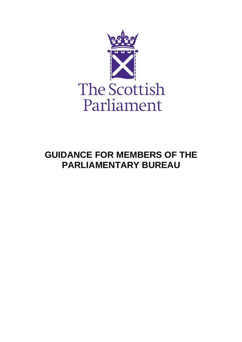

# **GUIDANCE FOR MEMBERS OF THE PARLIAMENTARY BUREAU**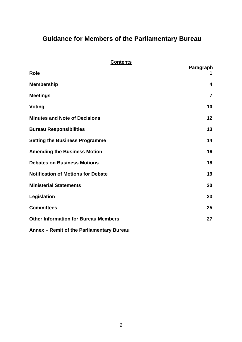# **Guidance for Members of the Parliamentary Bureau**

### **Contents**

| <b>Role</b>                                 | Paragraph      |
|---------------------------------------------|----------------|
| <b>Membership</b>                           | 4              |
| <b>Meetings</b>                             | $\overline{7}$ |
| Voting                                      | 10             |
| <b>Minutes and Note of Decisions</b>        | 12             |
| <b>Bureau Responsibilities</b>              | 13             |
| <b>Setting the Business Programme</b>       | 14             |
| <b>Amending the Business Motion</b>         | 16             |
| <b>Debates on Business Motions</b>          | 18             |
| <b>Notification of Motions for Debate</b>   | 19             |
| <b>Ministerial Statements</b>               | 20             |
| Legislation                                 | 23             |
| <b>Committees</b>                           | 25             |
| <b>Other Information for Bureau Members</b> | 27             |
| Annex - Remit of the Parliamentary Bureau   |                |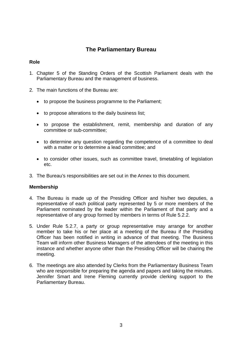## **The Parliamentary Bureau**

#### **Role**

- 1. Chapter 5 of the Standing Orders of the Scottish Parliament deals with the Parliamentary Bureau and the management of business.
- 2. The main functions of the Bureau are:
	- to propose the business programme to the Parliament;
	- to propose alterations to the daily business list;
	- to propose the establishment, remit, membership and duration of any committee or sub-committee;
	- to determine any question regarding the competence of a committee to deal with a matter or to determine a lead committee; and
	- to consider other issues, such as committee travel, timetabling of legislation etc.
- 3. The Bureau's responsibilities are set out in the Annex to this document.

#### **Membership**

- 4. The Bureau is made up of the Presiding Officer and his/her two deputies, a representative of each political party represented by 5 or more members of the Parliament nominated by the leader within the Parliament of that party and a representative of any group formed by members in terms of Rule 5.2.2.
- 5. Under Rule 5.2.7, a party or group representative may arrange for another member to take his or her place at a meeting of the Bureau if the Presiding Officer has been notified in writing in advance of that meeting. The Business Team will inform other Business Managers of the attendees of the meeting in this instance and whether anyone other than the Presiding Officer will be chairing the meeting.
- 6. The meetings are also attended by Clerks from the Parliamentary Business Team who are responsible for preparing the agenda and papers and taking the minutes. Jennifer Smart and Irene Fleming currently provide clerking support to the Parliamentary Bureau.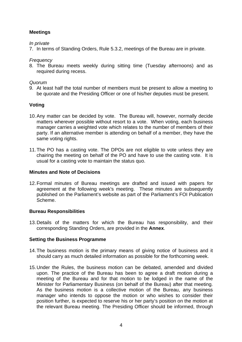#### **Meetings**

#### *In private*

7. In terms of Standing Orders, Rule 5.3.2, meetings of the Bureau are in private.

#### *Frequency*

8. The Bureau meets weekly during sitting time (Tuesday afternoons) and as required during recess.

#### *Quorum*

9. At least half the total number of members must be present to allow a meeting to be quorate and the Presiding Officer or one of his/her deputies must be present.

#### **Voting**

- 10. Any matter can be decided by vote. The Bureau will, however, normally decide matters wherever possible without resort to a vote. When voting, each business manager carries a weighted vote which relates to the number of members of their party. If an alternative member is attending on behalf of a member, they have the same voting rights.
- 11. The PO has a casting vote. The DPOs are not eligible to vote unless they are chairing the meeting on behalf of the PO and have to use the casting vote. It is usual for a casting vote to maintain the status quo.

#### **Minutes and Note of Decisions**

12. Formal minutes of Bureau meetings are drafted and issued with papers for agreement at the following week's meeting. These minutes are subsequently published on the Parliament's website as part of the Parliament's FOI Publication Scheme.

#### **Bureau Responsibilities**

13. Details of the matters for which the Bureau has responsibility, and their corresponding Standing Orders, are provided in the **Annex**.

#### **Setting the Business Programme**

- 14. The business motion is the primary means of giving notice of business and it should carry as much detailed information as possible for the forthcoming week.
- 15. Under the Rules, the business motion can be debated, amended and divided upon. The practice of the Bureau has been to agree a draft motion during a meeting of the Bureau and for that motion to be lodged in the name of the Minister for Parliamentary Business (on behalf of the Bureau) after that meeting. As the business motion is a collective motion of the Bureau, any business manager who intends to oppose the motion or who wishes to consider their position further, is expected to reserve his or her party's position on the motion at the relevant Bureau meeting. The Presiding Officer should be informed, through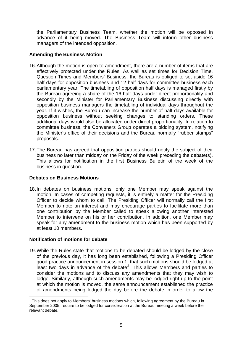the Parliamentary Business Team, whether the motion will be opposed in advance of it being moved. The Business Team will inform other business managers of the intended opposition.

#### **Amending the Business Motion**

- 16. Although the motion is open to amendment, there are a number of items that are effectively protected under the Rules. As well as set times for Decision Time, Question Times and Members' Business, the Bureau is obliged to set aside 16 half days for opposition business and 12 half days for committee business each parliamentary year. The timetabling of opposition half days is managed firstly by the Bureau agreeing a share of the 16 half days under direct proportionality and secondly by the Minister for Parliamentary Business discussing directly with opposition business managers the timetabling of individual days throughout the year. If it wishes, the Bureau can increase the number of half days available for opposition business without seeking changes to standing orders. These additional days would also be allocated under direct proportionality. In relation to committee business, the Conveners Group operates a bidding system, notifying the Minister's office of their decisions and the Bureau normally "rubber stamps" proposals.
- 17. The Bureau has agreed that opposition parties should notify the subject of their business no later than midday on the Friday of the week preceding the debate(s). This allows for notification in the first Business Bulletin of the week of the business in question.

#### **Debates on Business Motions**

18. In debates on business motions, only one Member may speak against the motion. In cases of competing requests, it is entirely a matter for the Presiding Officer to decide whom to call. The Presiding Officer will normally call the first Member to note an interest and may encourage parties to facilitate more than one contribution by the Member called to speak allowing another interested Member to intervene on his or her contribution. In addition, one Member may speak for any amendment to the business motion which has been supported by at least 10 members.

#### **Notification of motions for debate**

19. While the Rules state that motions to be debated should be lodged by the close of the previous day, it has long been established, following a Presiding Officer good practice announcement in session 1, that such motions should be lodged at least two days in advance of the debate*[1](#page-4-0)* . This allows Members and parties to consider the motions and to discuss any amendments that they may wish to lodge. Similarly, although such amendments may be lodged right up to the point at which the motion is moved, the same announcement established the practice of amendments being lodged the day before the debate in order to allow the

<span id="page-4-0"></span> $\overline{a}$  $1$  This does not apply to Members' business motions which, following agreement by the Bureau in September 2005, require to be lodged for consideration at the Bureau meeting a week before the relevant debate.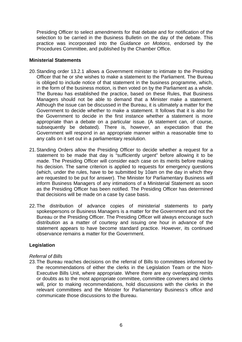Presiding Officer to select amendments for that debate and for notification of the selection to be carried in the Business Bulletin on the day of the debate. This practice was incorporated into the *Guidance on Motions*, endorsed by the Procedures Committee, and published by the Chamber Office.

#### **Ministerial Statements**

- 20. Standing order 13.2.1 allows a Government minister to intimate to the Presiding Officer that he or she wishes to make a statement to the Parliament. The Bureau is obliged to include notice of that statement in the business programme, which, in the form of the business motion, is then voted on by the Parliament as a whole. The Bureau has established the practice, based on these Rules, that Business Managers should not be able to demand that a Minister make a statement. Although the issue can be discussed in the Bureau, it is ultimately a matter for the Government to decide whether to make a statement. It follows that it is also for the Government to decide in the first instance whether a statement is more appropriate than a debate on a particular issue. (A statement can, of course, subsequently be debated). There is, however, an expectation that the Government will respond in an appropriate manner within a reasonable time to any calls on it set out in a parliamentary resolution.
- 21. Standing Orders allow the Presiding Officer to decide whether a request for a statement to be made that day is "sufficiently urgent" before allowing it to be made. The Presiding Officer will consider each case on its merits before making his decision. The same criterion is applied to requests for emergency questions (which, under the rules, have to be submitted by 10am on the day in which they are requested to be put for answer). The Minister for Parliamentary Business will inform Business Managers of any intimations of a Ministerial Statement as soon as the Presiding Officer has been notified. The Presiding Officer has determined that decisions will be made on a case by case basis.
- 22. The distribution of advance copies of ministerial statements to party spokespersons or Business Managers is a matter for the Government and not the Bureau or the Presiding Officer. The Presiding Officer will always encourage such distribution as a matter of courtesy and issuing one hour in advance of the statement appears to have become standard practice. However, its continued observance remains a matter for the Government.

#### **Legislation**

#### *Referral of Bills*

23. The Bureau reaches decisions on the referral of Bills to committees informed by the recommendations of either the clerks in the Legislation Team or the Non-Executive Bills Unit, where appropriate. Where there are any overlapping remits or doubts as to the most appropriate committee, committee conveners and clerks will, prior to making recommendations, hold discussions with the clerks in the relevant committees and the Minister for Parliamentary Business's office and communicate those discussions to the Bureau.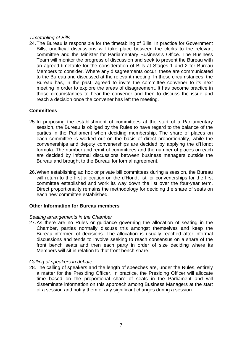#### *Timetabling of Bills*

24. The Bureau is responsible for the timetabling of Bills. In practice for Government Bills, unofficial discussions will take place between the clerks to the relevant committee and the Minister for Parliamentary Business's Office. The Business Team will monitor the progress of discussion and seek to present the Bureau with an agreed timetable for the consideration of Bills at Stages 1 and 2 for Bureau Members to consider. Where any disagreements occur, these are communicated to the Bureau and discussed at the relevant meeting. In those circumstances, the Bureau has, in the past, agreed to invite the committee convener to its next meeting in order to explore the areas of disagreement. It has become practice in those circumstances to hear the convener and then to discuss the issue and reach a decision once the convener has left the meeting.

#### **Committees**

- 25. In proposing the establishment of committees at the start of a Parliamentary session, the Bureau is obliged by the Rules to have regard to the balance of the parties in the Parliament when deciding membership. The share of places on each committee is worked out on the basis of direct proportionality, while the convenerships and deputy convenerships are decided by applying the d'Hondt formula. The number and remit of committees and the number of places on each are decided by informal discussions between business managers outside the Bureau and brought to the Bureau for formal agreement.
- 26. When establishing ad hoc or private bill committees during a session, the Bureau will return to the first allocation on the d'Hondt list for convenerships for the first committee established and work its way down the list over the four-year term. Direct proportionality remains the methodology for deciding the share of seats on each new committee established.

#### **Other Information for Bureau members**

#### *Seating arrangements in the Chamber*

27. As there are no Rules or guidance governing the allocation of seating in the Chamber, parties normally discuss this amongst themselves and keep the Bureau informed of decisions. The allocation is usually reached after informal discussions and tends to involve seeking to reach consensus on a share of the front bench seats and then each party in order of size deciding where its Members will sit in relation to that front bench share.

#### *Calling of speakers in debate*

28. The calling of speakers and the length of speeches are, under the Rules, entirely a matter for the Presiding Officer. In practice, the Presiding Officer will allocate time based on the proportional share of seats in the Parliament and will disseminate information on this approach among Business Managers at the start of a session and notify them of any significant changes during a session.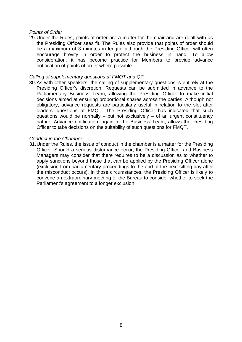#### *Points of Order*

29. Under the Rules, points of order are a matter for the chair and are dealt with as the Presiding Officer sees fit. The Rules also provide that points of order should be a maximum of 3 minutes in length, although the Presiding Officer will often encourage brevity in order to protect the business in hand. To allow consideration, it has become practice for Members to provide advance notification of points of order where possible.

#### *Calling of supplementary questions at FMQT and QT*

30. As with other speakers, the calling of supplementary questions is entirely at the Presiding Officer's discretion. Requests can be submitted in advance to the Parliamentary Business Team, allowing the Presiding Officer to make initial decisions aimed at ensuring proportional shares across the parties. Although not obligatory, advance requests are particularly useful in relation to the slot after leaders' questions at FMQT. The Presiding Officer has indicated that such questions would be normally – but not exclusively – of an urgent constituency nature. Advance notification, again to the Business Team, allows the Presiding Officer to take decisions on the suitability of such questions for FMQT.

#### *Conduct in the Chamber*

31. Under the Rules, the issue of conduct in the chamber is a matter for the Presiding Officer. Should a serious disturbance occur, the Presiding Officer and Business Managers may consider that there requires to be a discussion as to whether to apply sanctions beyond those that can be applied by the Presiding Officer alone (exclusion from parliamentary proceedings to the end of the next sitting day after the misconduct occurs). In those circumstances, the Presiding Officer is likely to convene an extraordinary meeting of the Bureau to consider whether to seek the Parliament's agreement to a longer exclusion.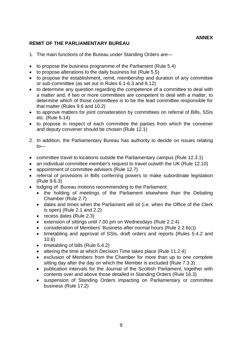#### **REMIT OF THE PARLIAMENTARY BUREAU**

- 1. The main functions of the Bureau under Standing Orders are—
- to propose the business programme of the Parliament (Rule 5.4)
- to propose alterations to the daily business list (Rule 5.5)
- to propose the establishment, remit, membership and duration of any committee or sub-committee (as set out in Rules 6.1-6.3 and 6.12)
- to determine any question regarding the competence of a committee to deal with a matter and, if two or more committees are competent to deal with a matter, to determine which of those committees is to be the lead committee responsible for that matter (Rules 9.6 and 10.2)
- to approve matters for joint consideration by committees on referral of Bills, SSIs etc. (Rule 6.14)
- to propose in respect of each committee the parties from which the convener and deputy convener should be chosen (Rule 12.1)
- 2. In addition, the Parliamentary Bureau has authority to decide on issues relating to—
- committee travel to locations outside the Parliamentary campus (Rule 12.3.1)
- an individual committee member's request to travel outwith the UK (Rule 12.10)
- appointment of committee advisers (Rule 12.7)
- referral of provisions in Bills conferring powers to make subordinate legislation (Rule 9.6.3)
- lodging of Bureau motions recommending to the Parliament:
	- the holding of meetings of the Parliament elsewhere than the Debating Chamber (Rule 2.7)
	- dates and times when the Parliament will sit (i.e. when the Office of the Clerk is open) (Rule 2.1 and 2.2)
	- recess dates (Rule 2.3)
	- extension of sittings until 7.00 pm on Wednesdays (Rule 2.2.4)
	- consideration of Members' Business after normal hours (Rule 2.2.6(c))
	- timetabling and approval of SSIs, draft orders and reports (Rules 5.4.2 and 10.6)
	- timetabling of bills (Rule 5.4.2)
	- altering the time at which Decision Time takes place (Rule 11.2.4)
	- exclusion of Members from the Chamber for more than up to one complete sitting day after the day on which the Member is excluded (Rule 7.3.3)
	- publication intervals for the Journal of the Scottish Parliament, together with contents over and above those detailed in Standing Orders (Rule 16.3)
	- suspension of Standing Orders impacting on Parliamentary or committee business (Rule 17.2)